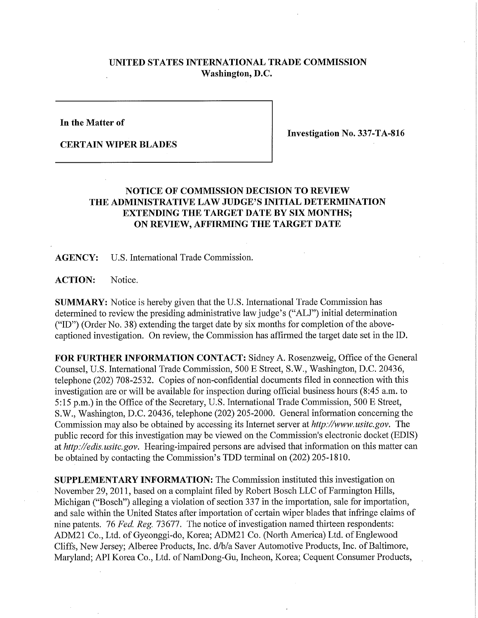## **UNITED STATES INTERNATIONAL TRADE COMMISSION Washington, D.C.**

**In the Matter of** 

**CERTAIN WIPER BLADES** 

**Investigation No. 337-TA-816** 

## **NOTICE OF COMMISSION DECISION TO REVIEW THE ADMINISTRATIVE LAW JUDGE'S INITIAL DETERMINATION EXTENDING THE TARGET DATE BY SIX MONTHS; ON REVIEW, AFFIRMING THE TARGET DATE**

**AGENCY:** U.S. International Trade Commission.

ACTION: Notice.

**SUMMARY:** Notice is hereby given that the U.S. International Trade Commission has determined to review the presiding administrative law judge's ("ALJ") initial determination ("ID") (Order No. 38) extending the target date by six months for completion of the abovecaptioned investigation. On review, the Commission has affirmed the target date set in the ID.

**FOR FURTHER INFORMATION CONTACT:** Sidney A. Rosenzweig, Office of the General Counsel, U.S. International Trade Commission, 500 E Street, S.W., Washington, D.C. 20436, telephone (202) 708-2532. Copies of non-confidential documents filed in connection with this investigation are or will be available for inspection during official business hours (8:45 a.m. to 5:15 p.m.) in the Office of the Secretary, U.S. International Trade Commission, 500 E Street, S.W., Washington, D.C. 20436, telephone (202) 205-2000. General information concerning the Commission may also be obtained by accessing its Internet server at *http://www.usitc.gov.* The public record for this investigation may be viewed on the Commission's electronic docket (EDIS) at *http://edis.usitc.gov.* Hearing-impaired persons are advised that information on this matter can be obtained by contacting the Commission's TDD terminal on (202) 205-1810.

**SUPPLEMENTARY INFORMATION:** The Commission instituted this investigation on November 29, 2011, based on a complaint filed by Robert Bosch LLC of Farmington Hills, Michigan ("Bosch") alleging a violation of section 337 in the importation, sale for importation, and sale within the United States after importation of certain wiper blades that infringe claims of nine patents. 76 *Fed, Reg. 13611.* The notice of investigation named thirteen respondents: ADM21 Co., Ltd. of Gyeonggi-do, Korea; ADM21 Co. (North America) Ltd. of Englewood Cliffs, New Jersey; Alberee Products, Inc. d/b/a Saver Automotive Products, Inc. of Baltimore, Maryland; API Korea Co., Ltd. of NamDong-Gu, Incheon, Korea; Cequent Consumer Products,